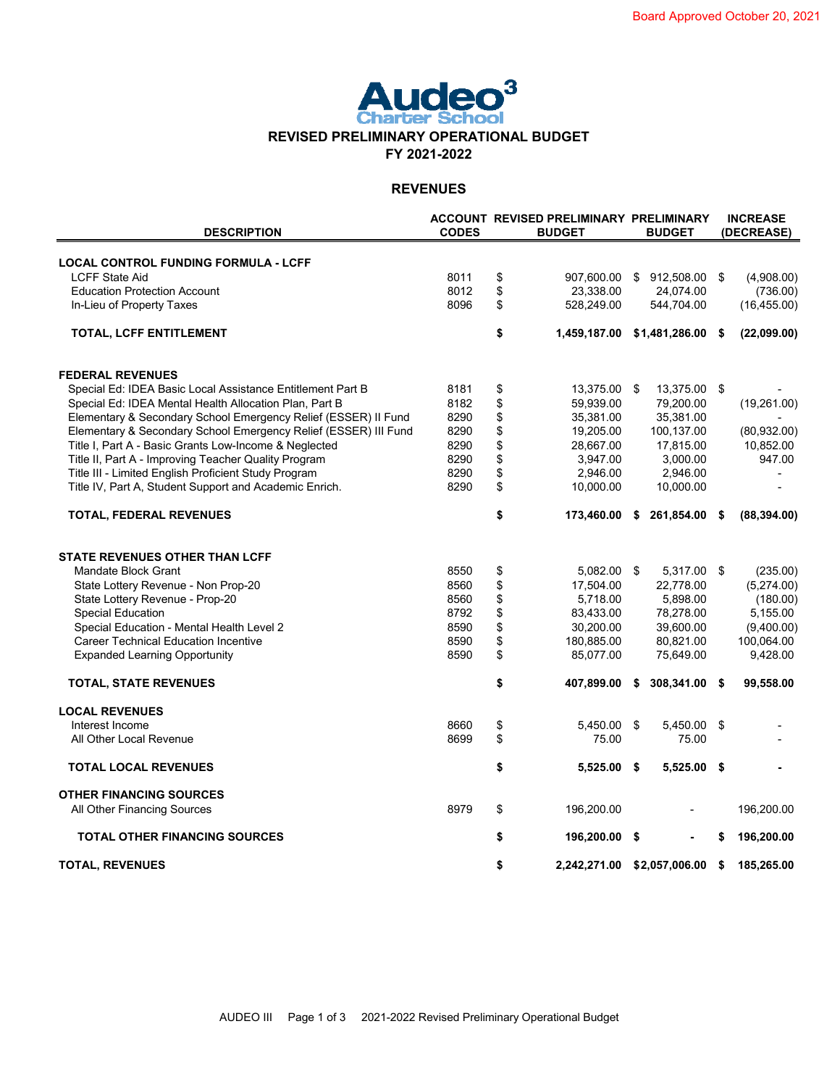

### **REVENUES**

| <b>DESCRIPTION</b>                                              | <b>CODES</b> | <b>ACCOUNT REVISED PRELIMINARY PRELIMINARY</b><br><b>BUDGET</b> |                             |     | <b>BUDGET</b>  | <b>INCREASE</b><br>(DECREASE) |              |  |
|-----------------------------------------------------------------|--------------|-----------------------------------------------------------------|-----------------------------|-----|----------------|-------------------------------|--------------|--|
| <b>LOCAL CONTROL FUNDING FORMULA - LCFF</b>                     |              |                                                                 |                             |     |                |                               |              |  |
| <b>LCFF State Aid</b>                                           | 8011         | \$                                                              | 907,600.00                  | -\$ | 912,508.00     | \$                            | (4,908.00)   |  |
| <b>Education Protection Account</b>                             | 8012         | \$                                                              | 23,338.00                   |     | 24,074.00      |                               | (736.00)     |  |
| In-Lieu of Property Taxes                                       | 8096         | \$                                                              | 528,249.00                  |     | 544,704.00     |                               | (16, 455.00) |  |
| <b>TOTAL, LCFF ENTITLEMENT</b>                                  |              | \$                                                              | 1,459,187.00 \$1,481,286.00 |     |                | \$                            | (22,099.00)  |  |
| <b>FEDERAL REVENUES</b>                                         |              |                                                                 |                             |     |                |                               |              |  |
| Special Ed: IDEA Basic Local Assistance Entitlement Part B      | 8181         | \$                                                              | 13,375.00 \$                |     | 13,375.00 \$   |                               |              |  |
| Special Ed: IDEA Mental Health Allocation Plan, Part B          | 8182         | \$                                                              | 59,939.00                   |     | 79,200.00      |                               | (19,261.00)  |  |
| Elementary & Secondary School Emergency Relief (ESSER) II Fund  | 8290         | \$                                                              | 35,381.00                   |     | 35,381.00      |                               |              |  |
| Elementary & Secondary School Emergency Relief (ESSER) III Fund | 8290         | \$                                                              | 19,205.00                   |     | 100,137.00     |                               | (80, 932.00) |  |
| Title I, Part A - Basic Grants Low-Income & Neglected           | 8290         | \$                                                              | 28,667.00                   |     | 17,815.00      |                               | 10,852.00    |  |
| Title II, Part A - Improving Teacher Quality Program            | 8290         | \$                                                              | 3,947.00                    |     | 3,000.00       |                               | 947.00       |  |
| Title III - Limited English Proficient Study Program            | 8290         | \$                                                              | 2,946.00                    |     | 2,946.00       |                               |              |  |
| Title IV, Part A, Student Support and Academic Enrich.          | 8290         | \$                                                              | 10,000.00                   |     | 10,000.00      |                               |              |  |
| <b>TOTAL, FEDERAL REVENUES</b>                                  |              | \$                                                              | 173,460.00                  | \$  | 261,854.00     | \$                            | (88, 394.00) |  |
| STATE REVENUES OTHER THAN LCFF                                  |              |                                                                 |                             |     |                |                               |              |  |
| Mandate Block Grant                                             | 8550         | \$                                                              | 5.082.00 \$                 |     | 5,317.00 \$    |                               | (235.00)     |  |
| State Lottery Revenue - Non Prop-20                             | 8560         | \$                                                              | 17,504.00                   |     | 22,778.00      |                               | (5,274.00)   |  |
| State Lottery Revenue - Prop-20                                 | 8560         | \$                                                              | 5,718.00                    |     | 5,898.00       |                               | (180.00)     |  |
| <b>Special Education</b>                                        | 8792         | \$                                                              | 83,433.00                   |     | 78,278.00      |                               | 5,155.00     |  |
| Special Education - Mental Health Level 2                       | 8590         | \$                                                              | 30,200.00                   |     | 39,600.00      |                               | (9,400.00)   |  |
| <b>Career Technical Education Incentive</b>                     | 8590         | \$                                                              | 180,885.00                  |     | 80,821.00      |                               | 100,064.00   |  |
| <b>Expanded Learning Opportunity</b>                            | 8590         | \$                                                              | 85,077.00                   |     | 75,649.00      |                               | 9,428.00     |  |
| <b>TOTAL, STATE REVENUES</b>                                    |              | \$                                                              | 407,899.00                  | \$  | 308,341.00     | \$                            | 99,558.00    |  |
| <b>LOCAL REVENUES</b>                                           |              |                                                                 |                             |     |                |                               |              |  |
| Interest Income                                                 | 8660         | \$                                                              | 5,450.00 \$                 |     | 5,450.00 \$    |                               |              |  |
| All Other Local Revenue                                         | 8699         | \$                                                              | 75.00                       |     | 75.00          |                               |              |  |
| <b>TOTAL LOCAL REVENUES</b>                                     |              | \$                                                              | $5,525.00$ \$               |     | $5,525.00$ \$  |                               |              |  |
| <b>OTHER FINANCING SOURCES</b>                                  |              |                                                                 |                             |     |                |                               |              |  |
| All Other Financing Sources                                     | 8979         | \$                                                              | 196,200.00                  |     |                |                               | 196,200.00   |  |
| <b>TOTAL OTHER FINANCING SOURCES</b>                            |              | \$                                                              | 196,200.00 \$               |     |                | S                             | 196,200.00   |  |
| <b>TOTAL, REVENUES</b>                                          |              | \$                                                              | 2,242,271.00                |     | \$2,057,006.00 | \$                            | 185,265.00   |  |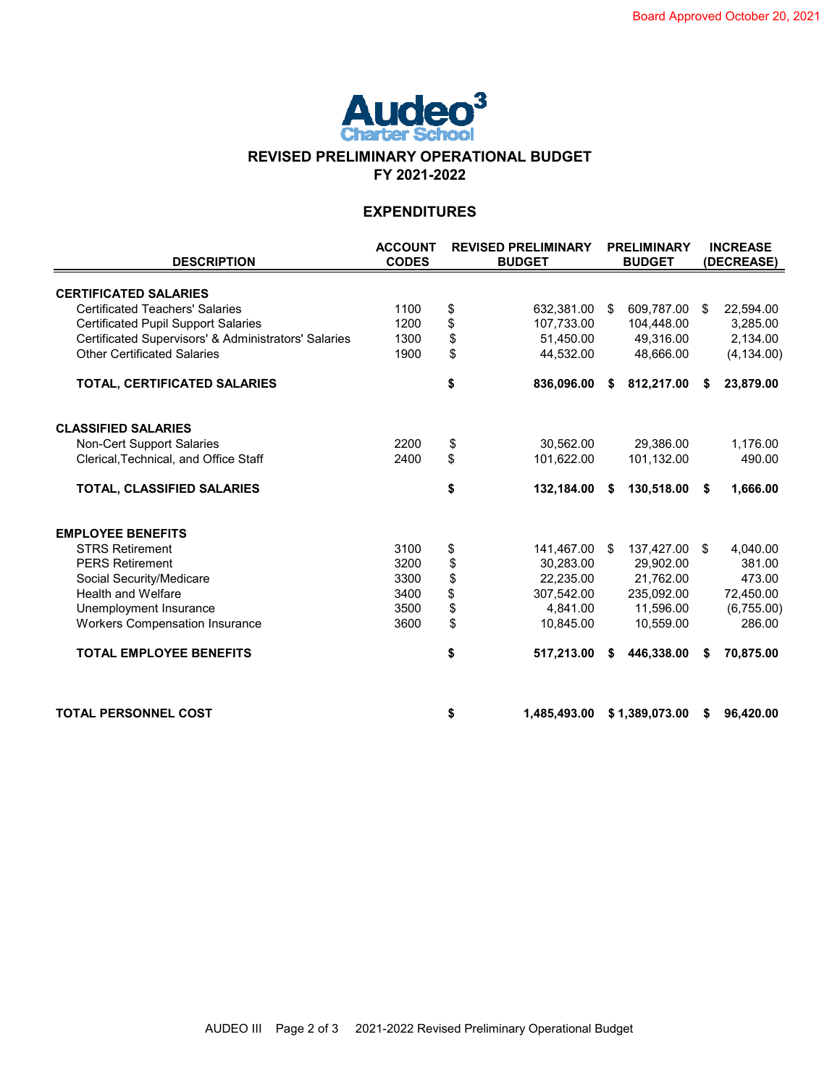

## **REVISED PRELIMINARY OPERATIONAL BUDGET FY 2021-2022**

## **EXPENDITURES**

| <b>DESCRIPTION</b>                                   | <b>ACCOUNT</b><br><b>CODES</b> | <b>REVISED PRELIMINARY</b><br><b>BUDGET</b> |              |    |                |      |             | <b>PRELIMINARY</b><br><b>BUDGET</b> |  |  |  | <b>INCREASE</b><br>(DECREASE) |  |  |
|------------------------------------------------------|--------------------------------|---------------------------------------------|--------------|----|----------------|------|-------------|-------------------------------------|--|--|--|-------------------------------|--|--|
| <b>CERTIFICATED SALARIES</b>                         |                                |                                             |              |    |                |      |             |                                     |  |  |  |                               |  |  |
| <b>Certificated Teachers' Salaries</b>               | 1100                           | \$                                          | 632,381.00   | \$ | 609.787.00     | - \$ | 22,594.00   |                                     |  |  |  |                               |  |  |
| <b>Certificated Pupil Support Salaries</b>           | 1200                           | \$                                          | 107,733.00   |    | 104,448.00     |      | 3,285.00    |                                     |  |  |  |                               |  |  |
| Certificated Supervisors' & Administrators' Salaries | 1300                           | \$                                          | 51,450.00    |    | 49,316.00      |      | 2,134.00    |                                     |  |  |  |                               |  |  |
| <b>Other Certificated Salaries</b>                   | 1900                           | \$                                          | 44,532.00    |    | 48,666.00      |      | (4, 134.00) |                                     |  |  |  |                               |  |  |
| TOTAL, CERTIFICATED SALARIES                         |                                | \$                                          | 836,096.00   | S  | 812,217.00     | -S   | 23,879.00   |                                     |  |  |  |                               |  |  |
| <b>CLASSIFIED SALARIES</b>                           |                                |                                             |              |    |                |      |             |                                     |  |  |  |                               |  |  |
| <b>Non-Cert Support Salaries</b>                     | 2200                           | \$                                          | 30.562.00    |    | 29,386.00      |      | 1,176.00    |                                     |  |  |  |                               |  |  |
| Clerical, Technical, and Office Staff                | 2400                           | \$                                          | 101,622.00   |    | 101,132.00     |      | 490.00      |                                     |  |  |  |                               |  |  |
| TOTAL, CLASSIFIED SALARIES                           |                                | \$                                          | 132,184.00   | S  | 130,518.00     | \$   | 1,666.00    |                                     |  |  |  |                               |  |  |
| <b>EMPLOYEE BENEFITS</b>                             |                                |                                             |              |    |                |      |             |                                     |  |  |  |                               |  |  |
| <b>STRS Retirement</b>                               | 3100                           | \$                                          | 141,467.00   | \$ | 137,427.00 \$  |      | 4,040.00    |                                     |  |  |  |                               |  |  |
| <b>PERS Retirement</b>                               | 3200                           | \$                                          | 30.283.00    |    | 29.902.00      |      | 381.00      |                                     |  |  |  |                               |  |  |
| Social Security/Medicare                             | 3300                           | \$                                          | 22,235.00    |    | 21,762.00      |      | 473.00      |                                     |  |  |  |                               |  |  |
| <b>Health and Welfare</b>                            | 3400                           | \$                                          | 307.542.00   |    | 235,092.00     |      | 72,450.00   |                                     |  |  |  |                               |  |  |
| Unemployment Insurance                               | 3500                           | \$                                          | 4.841.00     |    | 11.596.00      |      | (6,755.00)  |                                     |  |  |  |                               |  |  |
| <b>Workers Compensation Insurance</b>                | 3600                           | \$                                          | 10,845.00    |    | 10,559.00      |      | 286.00      |                                     |  |  |  |                               |  |  |
| <b>TOTAL EMPLOYEE BENEFITS</b>                       |                                | \$                                          | 517,213.00   | S  | 446,338.00     | S    | 70,875.00   |                                     |  |  |  |                               |  |  |
| <b>TOTAL PERSONNEL COST</b>                          |                                | \$                                          | 1,485,493.00 |    | \$1,389,073.00 | -S   | 96,420.00   |                                     |  |  |  |                               |  |  |